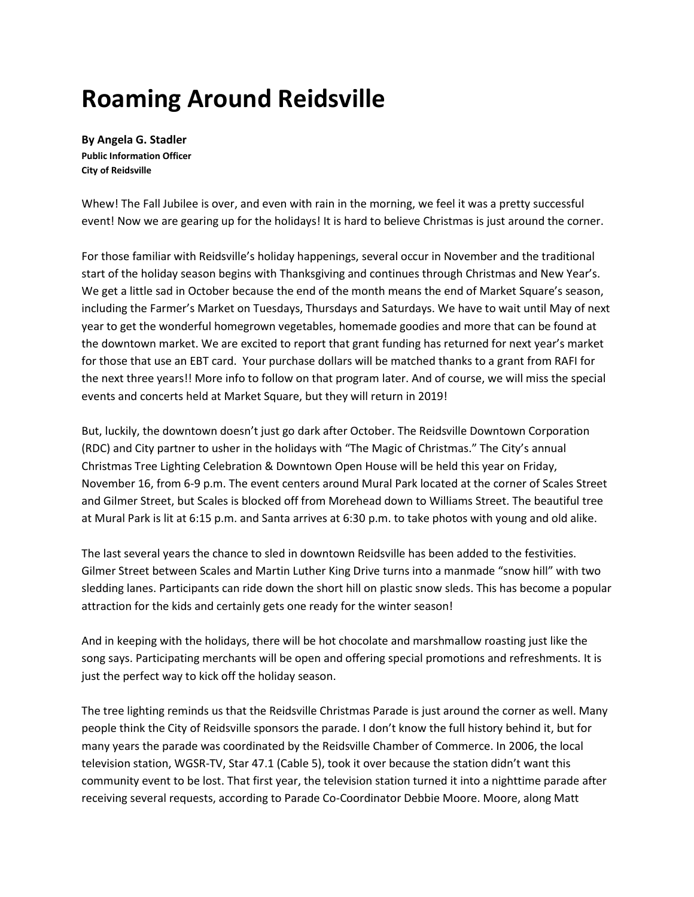## **Roaming Around Reidsville**

**By Angela G. Stadler Public Information Officer City of Reidsville**

Whew! The Fall Jubilee is over, and even with rain in the morning, we feel it was a pretty successful event! Now we are gearing up for the holidays! It is hard to believe Christmas is just around the corner.

For those familiar with Reidsville's holiday happenings, several occur in November and the traditional start of the holiday season begins with Thanksgiving and continues through Christmas and New Year's. We get a little sad in October because the end of the month means the end of Market Square's season, including the Farmer's Market on Tuesdays, Thursdays and Saturdays. We have to wait until May of next year to get the wonderful homegrown vegetables, homemade goodies and more that can be found at the downtown market. We are excited to report that grant funding has returned for next year's market for those that use an EBT card. Your purchase dollars will be matched thanks to a grant from RAFI for the next three years!! More info to follow on that program later. And of course, we will miss the special events and concerts held at Market Square, but they will return in 2019!

But, luckily, the downtown doesn't just go dark after October. The Reidsville Downtown Corporation (RDC) and City partner to usher in the holidays with "The Magic of Christmas." The City's annual Christmas Tree Lighting Celebration & Downtown Open House will be held this year on Friday, November 16, from 6-9 p.m. The event centers around Mural Park located at the corner of Scales Street and Gilmer Street, but Scales is blocked off from Morehead down to Williams Street. The beautiful tree at Mural Park is lit at 6:15 p.m. and Santa arrives at 6:30 p.m. to take photos with young and old alike.

The last several years the chance to sled in downtown Reidsville has been added to the festivities. Gilmer Street between Scales and Martin Luther King Drive turns into a manmade "snow hill" with two sledding lanes. Participants can ride down the short hill on plastic snow sleds. This has become a popular attraction for the kids and certainly gets one ready for the winter season!

And in keeping with the holidays, there will be hot chocolate and marshmallow roasting just like the song says. Participating merchants will be open and offering special promotions and refreshments. It is just the perfect way to kick off the holiday season.

The tree lighting reminds us that the Reidsville Christmas Parade is just around the corner as well. Many people think the City of Reidsville sponsors the parade. I don't know the full history behind it, but for many years the parade was coordinated by the Reidsville Chamber of Commerce. In 2006, the local television station, WGSR-TV, Star 47.1 (Cable 5), took it over because the station didn't want this community event to be lost. That first year, the television station turned it into a nighttime parade after receiving several requests, according to Parade Co-Coordinator Debbie Moore. Moore, along Matt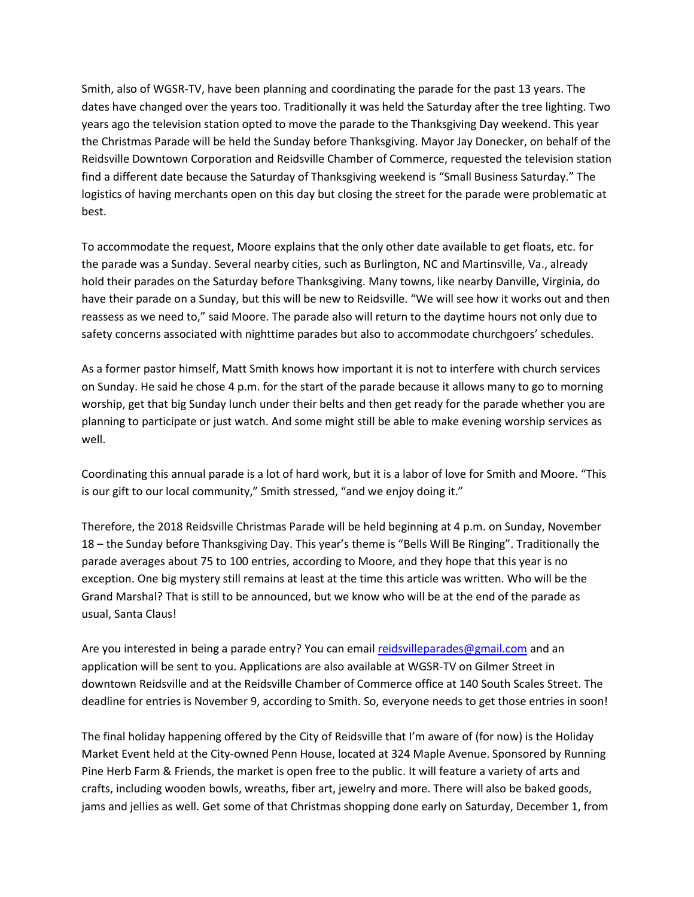Smith, also of WGSR-TV, have been planning and coordinating the parade for the past 13 years. The dates have changed over the years too. Traditionally it was held the Saturday after the tree lighting. Two years ago the television station opted to move the parade to the Thanksgiving Day weekend. This year the Christmas Parade will be held the Sunday before Thanksgiving. Mayor Jay Donecker, on behalf of the Reidsville Downtown Corporation and Reidsville Chamber of Commerce, requested the television station find a different date because the Saturday of Thanksgiving weekend is "Small Business Saturday." The logistics of having merchants open on this day but closing the street for the parade were problematic at best.

To accommodate the request, Moore explains that the only other date available to get floats, etc. for the parade was a Sunday. Several nearby cities, such as Burlington, NC and Martinsville, Va., already hold their parades on the Saturday before Thanksgiving. Many towns, like nearby Danville, Virginia, do have their parade on a Sunday, but this will be new to Reidsville. "We will see how it works out and then reassess as we need to," said Moore. The parade also will return to the daytime hours not only due to safety concerns associated with nighttime parades but also to accommodate churchgoers' schedules.

As a former pastor himself, Matt Smith knows how important it is not to interfere with church services on Sunday. He said he chose 4 p.m. for the start of the parade because it allows many to go to morning worship, get that big Sunday lunch under their belts and then get ready for the parade whether you are planning to participate or just watch. And some might still be able to make evening worship services as well.

Coordinating this annual parade is a lot of hard work, but it is a labor of love for Smith and Moore. "This is our gift to our local community," Smith stressed, "and we enjoy doing it."

Therefore, the 2018 Reidsville Christmas Parade will be held beginning at 4 p.m. on Sunday, November 18 – the Sunday before Thanksgiving Day. This year's theme is "Bells Will Be Ringing". Traditionally the parade averages about 75 to 100 entries, according to Moore, and they hope that this year is no exception. One big mystery still remains at least at the time this article was written. Who will be the Grand Marshal? That is still to be announced, but we know who will be at the end of the parade as usual, Santa Claus!

Are you interested in being a parade entry? You can email [reidsvilleparades@gmail.com](mailto:reidsvilleparades@gmail.com) and an application will be sent to you. Applications are also available at WGSR-TV on Gilmer Street in downtown Reidsville and at the Reidsville Chamber of Commerce office at 140 South Scales Street. The deadline for entries is November 9, according to Smith. So, everyone needs to get those entries in soon!

The final holiday happening offered by the City of Reidsville that I'm aware of (for now) is the Holiday Market Event held at the City-owned Penn House, located at 324 Maple Avenue. Sponsored by Running Pine Herb Farm & Friends, the market is open free to the public. It will feature a variety of arts and crafts, including wooden bowls, wreaths, fiber art, jewelry and more. There will also be baked goods, jams and jellies as well. Get some of that Christmas shopping done early on Saturday, December 1, from